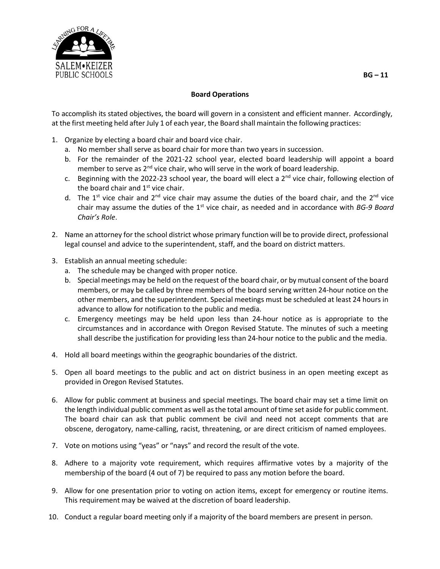

## **Board Operations**

To accomplish its stated objectives, the board will govern in a consistent and efficient manner. Accordingly, at the first meeting held after July 1 of each year, the Board shall maintain the following practices:

- 1. Organize by electing a board chair and board vice chair.
	- a. No member shall serve as board chair for more than two years in succession.
	- b. For the remainder of the 2021-22 school year, elected board leadership will appoint a board member to serve as 2<sup>nd</sup> vice chair, who will serve in the work of board leadership.
	- c. Beginning with the 2022-23 school year, the board will elect a  $2<sup>nd</sup>$  vice chair, following election of the board chair and  $1<sup>st</sup>$  vice chair.
	- d. The 1<sup>st</sup> vice chair and 2<sup>nd</sup> vice chair may assume the duties of the board chair, and the 2<sup>nd</sup> vice chair may assume the duties of the 1<sup>st</sup> vice chair, as needed and in accordance with *BG-9 Board Chair's Role*.
- 2. Name an attorney for the school district whose primary function will be to provide direct, professional legal counsel and advice to the superintendent, staff, and the board on district matters.
- 3. Establish an annual meeting schedule:
	- a. The schedule may be changed with proper notice.
	- b. Special meetings may be held on the request of the board chair, or by mutual consent of the board members, or may be called by three members of the board serving written 24-hour notice on the other members, and the superintendent. Special meetings must be scheduled at least 24 hours in advance to allow for notification to the public and media.
	- c. Emergency meetings may be held upon less than 24-hour notice as is appropriate to the circumstances and in accordance with Oregon Revised Statute. The minutes of such a meeting shall describe the justification for providing less than 24-hour notice to the public and the media.
- 4. Hold all board meetings within the geographic boundaries of the district.
- 5. Open all board meetings to the public and act on district business in an open meeting except as provided in Oregon Revised Statutes.
- 6. Allow for public comment at business and special meetings. The board chair may set a time limit on the length individual public comment as well asthe total amount oftime set aside for public comment. The board chair can ask that public comment be civil and need not accept comments that are obscene, derogatory, name-calling, racist, threatening, or are direct criticism of named employees.
- 7. Vote on motions using "yeas" or "nays" and record the result of the vote.
- 8. Adhere to a majority vote requirement, which requires affirmative votes by a majority of the membership of the board (4 out of 7) be required to pass any motion before the board.
- 9. Allow for one presentation prior to voting on action items, except for emergency or routine items. This requirement may be waived at the discretion of board leadership.
- 10. Conduct a regular board meeting only if a majority of the board members are present in person.